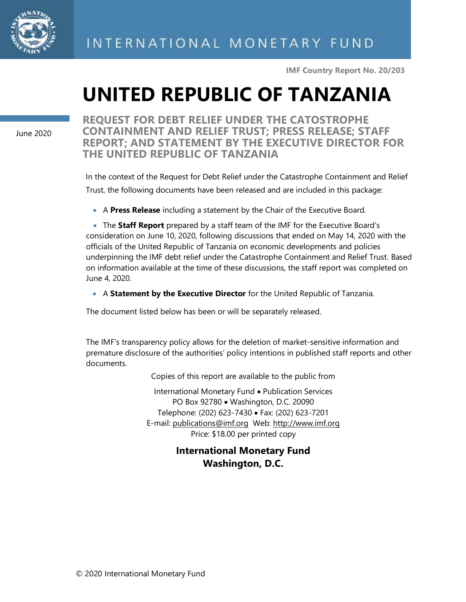

**IMF Country Report No. 20/203**

# **UNITED REPUBLIC OF TANZANIA**

June 2020

**REQUEST FOR DEBT RELIEF UNDER THE CATOSTROPHE CONTAINMENT AND RELIEF TRUST; PRESS RELEASE; STAFF REPORT; AND STATEMENT BY THE EXECUTIVE DIRECTOR FOR THE UNITED REPUBLIC OF TANZANIA**

In the context of the Request for Debt Relief under the Catastrophe Containment and Relief Trust, the following documents have been released and are included in this package:

• A **Press Release** including a statement by the Chair of the Executive Board.

• The **Staff Report** prepared by a staff team of the IMF for the Executive Board's consideration on June 10, 2020, following discussions that ended on May 14, 2020 with the officials of the United Republic of Tanzania on economic developments and policies underpinning the IMF debt relief under the Catastrophe Containment and Relief Trust. Based on information available at the time of these discussions, the staff report was completed on June 4, 2020.

• A **Statement by the Executive Director** for the United Republic of Tanzania.

The document listed below has been or will be separately released.

The IMF's transparency policy allows for the deletion of market-sensitive information and premature disclosure of the authorities' policy intentions in published staff reports and other documents.

Copies of this report are available to the public from

International Monetary Fund • Publication Services PO Box 92780 • Washington, D.C. 20090 Telephone: (202) 623-7430 • Fax: (202) 623-7201 E-mail: [publications@imf.org](mailto:publications@imf.org) Web: [http://www.imf.org](http://0-www-imf-org.library.svsu.edu/) Price: \$18.00 per printed copy

## **International Monetary Fund Washington, D.C.**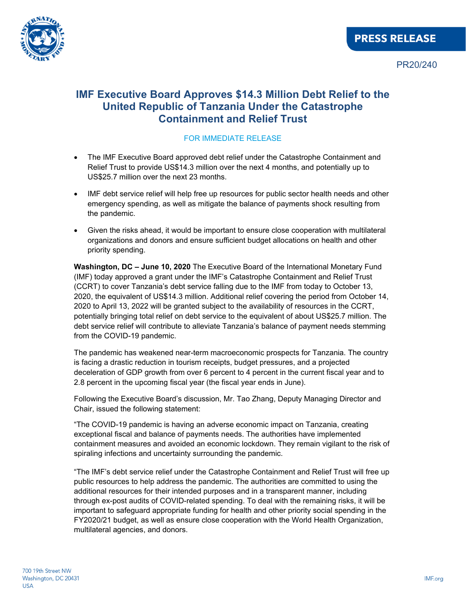

## **IMF Executive Board Approves \$14.3 Million Debt Relief to the United Republic of Tanzania Under the Catastrophe Containment and Relief Trust**

#### FOR IMMEDIATE RELEASE

- The IMF Executive Board approved debt relief under the Catastrophe Containment and Relief Trust to provide US\$14.3 million over the next 4 months, and potentially up to US\$25.7 million over the next 23 months.
- IMF debt service relief will help free up resources for public sector health needs and other emergency spending, as well as mitigate the balance of payments shock resulting from the pandemic.
- Given the risks ahead, it would be important to ensure close cooperation with multilateral organizations and donors and ensure sufficient budget allocations on health and other priority spending.

**Washington, DC – June 10, 2020** The Executive Board of the International Monetary Fund (IMF) today approved a grant under the IMF's Catastrophe Containment and Relief Trust (CCRT) to cover Tanzania's debt service falling due to the IMF from today to October 13, 2020, the equivalent of US\$14.3 million. Additional relief covering the period from October 14, 2020 to April 13, 2022 will be granted subject to the availability of resources in the CCRT, potentially bringing total relief on debt service to the equivalent of about US\$25.7 million. The debt service relief will contribute to alleviate Tanzania's balance of payment needs stemming from the COVID-19 pandemic.

The pandemic has weakened near-term macroeconomic prospects for Tanzania. The country is facing a drastic reduction in tourism receipts, budget pressures, and a projected deceleration of GDP growth from over 6 percent to 4 percent in the current fiscal year and to 2.8 percent in the upcoming fiscal year (the fiscal year ends in June).

Following the Executive Board's discussion, Mr. Tao Zhang, Deputy Managing Director and Chair, issued the following statement:

"The COVID-19 pandemic is having an adverse economic impact on Tanzania, creating exceptional fiscal and balance of payments needs. The authorities have implemented containment measures and avoided an economic lockdown. They remain vigilant to the risk of spiraling infections and uncertainty surrounding the pandemic.

"The IMF's debt service relief under the Catastrophe Containment and Relief Trust will free up public resources to help address the pandemic. The authorities are committed to using the additional resources for their intended purposes and in a transparent manner, including through ex-post audits of COVID-related spending. To deal with the remaining risks, it will be important to safeguard appropriate funding for health and other priority social spending in the FY2020/21 budget, as well as ensure close cooperation with the World Health Organization, multilateral agencies, and donors.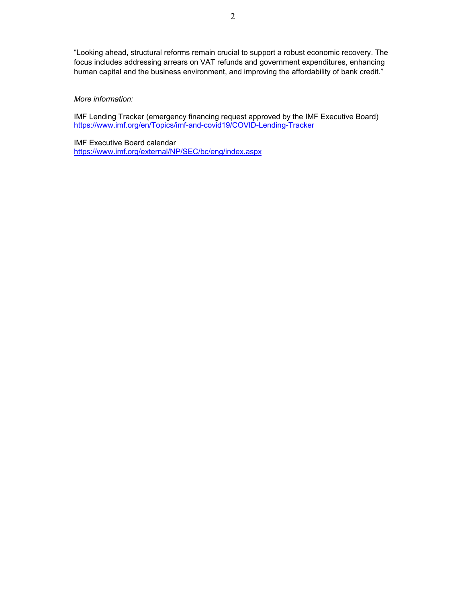"Looking ahead, structural reforms remain crucial to support a robust economic recovery. The focus includes addressing arrears on VAT refunds and government expenditures, enhancing human capital and the business environment, and improving the affordability of bank credit."

#### *More information:*

IMF Lending Tracker (emergency financing request approved by the IMF Executive Board) https://www.imf.org/en/Topics/imf-and-covid19/COVID-Lending-Tracker

IMF Executive Board calendar https://www.imf.org/external/NP/SEC/bc/eng/index.aspx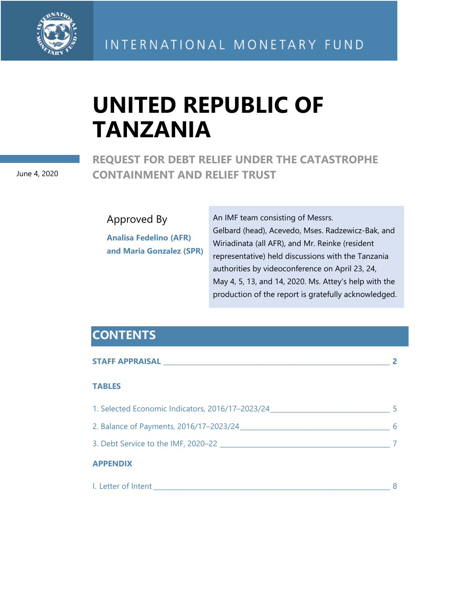

# **UNITED REPUBLIC OF TANZANIA**

## **REQUEST FOR DEBT RELIEF UNDER THE CATASTROPHE CONTAINMENT AND RELIEF TRUST**

June 4, 2020

Approved By

**Analisa Fedelino (AFR) and Maria Gonzalez (SPR)**  An IMF team consisting of Messrs. Gelbard (head), Acevedo, Mses. Radzewicz-Bak, and Wiriadinata (all AFR), and Mr. Reinke (resident representative) held discussions with the Tanzania authorities by videoconference on April 23, 24, May 4, 5, 13, and 14, 2020. Ms. Attey's help with the production of the report is gratefully acknowledged.

## **CONTENTS**

| <b>TABLES</b>                                    |  |
|--------------------------------------------------|--|
| 1. Selected Economic Indicators, 2016/17-2023/24 |  |
| 2. Balance of Payments, 2016/17-2023/24          |  |
| 3. Debt Service to the IMF, 2020–22              |  |
| <b>APPENDIX</b>                                  |  |
|                                                  |  |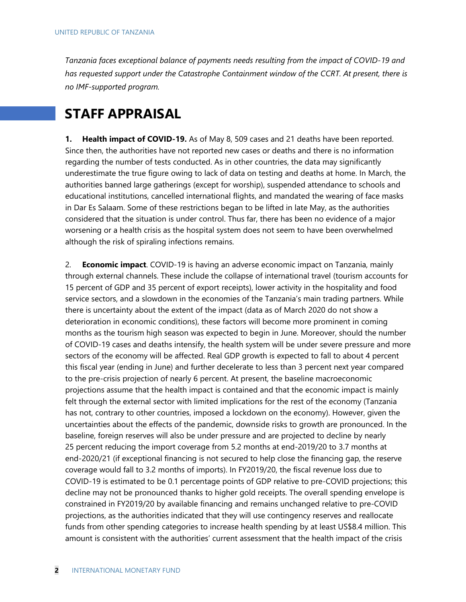*Tanzania faces exceptional balance of payments needs resulting from the impact of COVID-19 and has requested support under the Catastrophe Containment window of the CCRT. At present, there is no IMF-supported program.* 

# **STAFF APPRAISAL**

**1. Health impact of COVID-19.** As of May 8, 509 cases and 21 deaths have been reported. Since then, the authorities have not reported new cases or deaths and there is no information regarding the number of tests conducted. As in other countries, the data may significantly underestimate the true figure owing to lack of data on testing and deaths at home. In March, the authorities banned large gatherings (except for worship), suspended attendance to schools and educational institutions, cancelled international flights, and mandated the wearing of face masks in Dar Es Salaam. Some of these restrictions began to be lifted in late May, as the authorities considered that the situation is under control. Thus far, there has been no evidence of a major worsening or a health crisis as the hospital system does not seem to have been overwhelmed although the risk of spiraling infections remains.

2. **Economic impact**. COVID-19 is having an adverse economic impact on Tanzania, mainly through external channels. These include the collapse of international travel (tourism accounts for 15 percent of GDP and 35 percent of export receipts), lower activity in the hospitality and food service sectors, and a slowdown in the economies of the Tanzania's main trading partners. While there is uncertainty about the extent of the impact (data as of March 2020 do not show a deterioration in economic conditions), these factors will become more prominent in coming months as the tourism high season was expected to begin in June. Moreover, should the number of COVID-19 cases and deaths intensify, the health system will be under severe pressure and more sectors of the economy will be affected. Real GDP growth is expected to fall to about 4 percent this fiscal year (ending in June) and further decelerate to less than 3 percent next year compared to the pre-crisis projection of nearly 6 percent. At present, the baseline macroeconomic projections assume that the health impact is contained and that the economic impact is mainly felt through the external sector with limited implications for the rest of the economy (Tanzania has not, contrary to other countries, imposed a lockdown on the economy). However, given the uncertainties about the effects of the pandemic, downside risks to growth are pronounced. In the baseline, foreign reserves will also be under pressure and are projected to decline by nearly 25 percent reducing the import coverage from 5.2 months at end-2019/20 to 3.7 months at end-2020/21 (if exceptional financing is not secured to help close the financing gap, the reserve coverage would fall to 3.2 months of imports). In FY2019/20, the fiscal revenue loss due to COVID-19 is estimated to be 0.1 percentage points of GDP relative to pre-COVID projections; this decline may not be pronounced thanks to higher gold receipts. The overall spending envelope is constrained in FY2019/20 by available financing and remains unchanged relative to pre-COVID projections, as the authorities indicated that they will use contingency reserves and reallocate funds from other spending categories to increase health spending by at least US\$8.4 million. This amount is consistent with the authorities' current assessment that the health impact of the crisis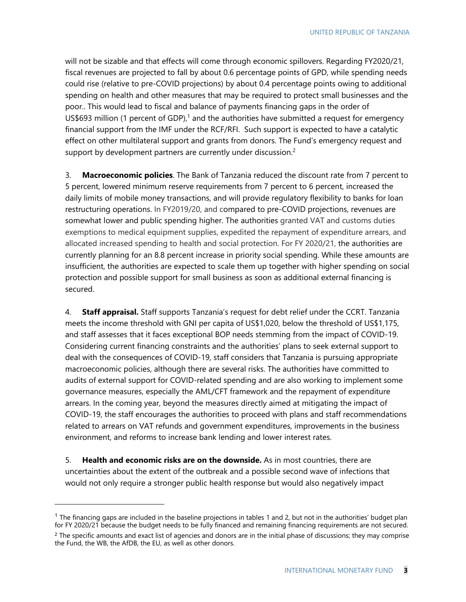will not be sizable and that effects will come through economic spillovers. Regarding FY2020/21, fiscal revenues are projected to fall by about 0.6 percentage points of GPD, while spending needs could rise (relative to pre-COVID projections) by about 0.4 percentage points owing to additional spending on health and other measures that may be required to protect small businesses and the poor.. This would lead to fiscal and balance of payments financing gaps in the order of US\$693 million (1 percent of GDP),<sup>1</sup> and the authorities have submitted a request for emergency financial support from the IMF under the RCF/RFI. Such support is expected to have a catalytic effect on other multilateral support and grants from donors. The Fund's emergency request and support by development partners are currently under discussion.<sup>2</sup>

3. **Macroeconomic policies**. The Bank of Tanzania reduced the discount rate from 7 percent to 5 percent, lowered minimum reserve requirements from 7 percent to 6 percent, increased the daily limits of mobile money transactions, and will provide regulatory flexibility to banks for loan restructuring operations. In FY2019/20, and compared to pre-COVID projections, revenues are somewhat lower and public spending higher. The authorities granted VAT and customs duties exemptions to medical equipment supplies, expedited the repayment of expenditure arrears, and allocated increased spending to health and social protection. For FY 2020/21, the authorities are currently planning for an 8.8 percent increase in priority social spending. While these amounts are insufficient, the authorities are expected to scale them up together with higher spending on social protection and possible support for small business as soon as additional external financing is secured.

4. **Staff appraisal.** Staff supports Tanzania's request for debt relief under the CCRT. Tanzania meets the income threshold with GNI per capita of US\$1,020, below the threshold of US\$1,175, and staff assesses that it faces exceptional BOP needs stemming from the impact of COVID-19. Considering current financing constraints and the authorities' plans to seek external support to deal with the consequences of COVID-19, staff considers that Tanzania is pursuing appropriate macroeconomic policies, although there are several risks. The authorities have committed to audits of external support for COVID-related spending and are also working to implement some governance measures, especially the AML/CFT framework and the repayment of expenditure arrears. In the coming year, beyond the measures directly aimed at mitigating the impact of COVID-19, the staff encourages the authorities to proceed with plans and staff recommendations related to arrears on VAT refunds and government expenditures, improvements in the business environment, and reforms to increase bank lending and lower interest rates.

5. **Health and economic risks are on the downside.** As in most countries, there are uncertainties about the extent of the outbreak and a possible second wave of infections that would not only require a stronger public health response but would also negatively impact

 $1$  The financing gaps are included in the baseline projections in tables 1 and 2, but not in the authorities' budget plan for FY 2020/21 because the budget needs to be fully financed and remaining financing requirements are not secured.

 $<sup>2</sup>$  The specific amounts and exact list of agencies and donors are in the initial phase of discussions; they may comprise</sup> the Fund, the WB, the AfDB, the EU, as well as other donors.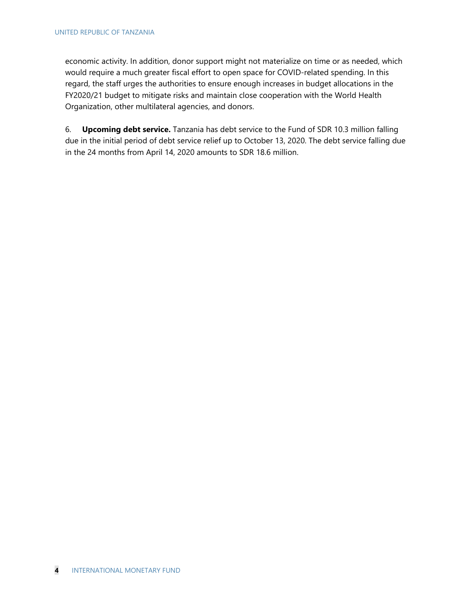economic activity. In addition, donor support might not materialize on time or as needed, which would require a much greater fiscal effort to open space for COVID-related spending. In this regard, the staff urges the authorities to ensure enough increases in budget allocations in the FY2020/21 budget to mitigate risks and maintain close cooperation with the World Health Organization, other multilateral agencies, and donors.

6. **Upcoming debt service.** Tanzania has debt service to the Fund of SDR 10.3 million falling due in the initial period of debt service relief up to October 13, 2020. The debt service falling due in the 24 months from April 14, 2020 amounts to SDR 18.6 million.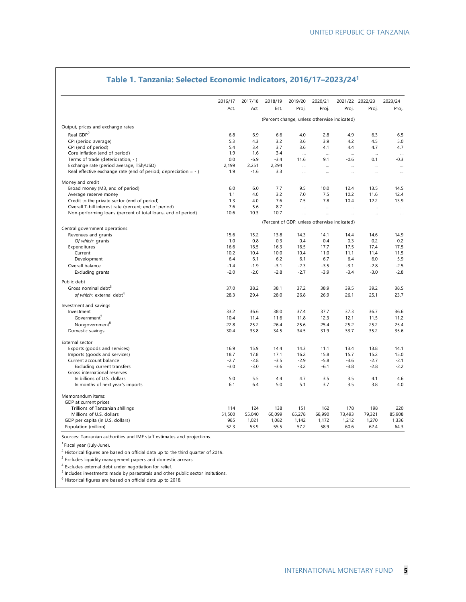|                                                                    | 2016/17                                      | 2017/18 | 2018/19 | 2019/20   | 2020/21  |           | 2021/22 2022/23 | 2023/24  |
|--------------------------------------------------------------------|----------------------------------------------|---------|---------|-----------|----------|-----------|-----------------|----------|
|                                                                    | Act.                                         | Act.    | Est.    | Proj.     | Proj.    | Proj.     | Proj.           | Proj.    |
|                                                                    | (Percent change, unless otherwise indicated) |         |         |           |          |           |                 |          |
| Output, prices and exchange rates                                  |                                              |         |         |           |          |           |                 |          |
| Real GDP <sup>2</sup>                                              | 6.8                                          | 6.9     | 6.6     | 4.0       | 2.8      | 4.9       | 6.3             | 6.5      |
| CPI (period average)                                               | 5.3                                          | 4.3     | 3.2     | 3.6       | 3.9      | 4.2       | 4.5             | 5.0      |
| CPI (end of period)                                                | 5.4                                          | 3.4     | 3.7     | 3.6       | 4.1      | 4.4       | 4.7             | 4.7      |
| Core inflation (end of period)                                     | 1.9                                          | 1.6     | 3.4     | $\ddotsc$ | $\cdots$ |           | $\cdots$        | $\cdots$ |
| Terms of trade (deterioration, - )                                 | 0.0                                          | $-6.9$  | $-3.4$  | 11.6      | 9.1      | $-0.6$    | 0.1             | $-0.3$   |
| Exchange rate (period average, TSh/USD)                            | 2,199                                        | 2,251   | 2,294   | $\ddotsc$ | $\cdots$ | $\cdots$  | $\cdots$        | $\cdots$ |
| Real effective exchange rate (end of period; depreciation $= -1$ ) | 1.9                                          | $-1.6$  | 3.3     |           |          |           |                 |          |
| Money and credit                                                   |                                              |         |         |           |          |           |                 |          |
| Broad money (M3, end of period)                                    | 6.0                                          | 6.0     | 7.7     | 9.5       | 10.0     | 12.4      | 13.5            | 14.5     |
| Average reserve money                                              | 1.1                                          | 4.0     | 3.2     | 7.0       | 7.5      | 10.2      | 11.6            | 12.4     |
| Credit to the private sector (end of period)                       | 1.3                                          | 4.0     | 7.6     | 7.5       | 7.8      | 10.4      | 12.2            | 13.9     |
| Overall T-bill interest rate (percent; end of period)              | 7.6                                          | 5.6     | 8.7     | $\ddotsc$ | $\cdots$ | $\ddotsc$ | $\ddotsc$       | $\cdots$ |
| Non-performing loans (percent of total loans, end of period)       | 10.6                                         | 10.3    | 10.7    | $\cdots$  |          | $\cdots$  |                 |          |
|                                                                    | (Percent of GDP, unless otherwise indicated) |         |         |           |          |           |                 |          |
| Central government operations                                      |                                              |         |         |           |          |           |                 |          |
| Revenues and grants                                                | 15.6                                         | 15.2    | 13.8    | 14.3      | 14.1     | 14.4      | 14.6            | 14.9     |
| Of which: grants                                                   | 1.0                                          | 0.8     | 0.3     | 0.4       | 0.4      | 0.3       | 0.2             | 0.2      |
| Expenditures                                                       | 16.6                                         | 16.5    | 16.3    | 16.5      | 17.7     | 17.5      | 17.4            | 17.5     |
| Current                                                            | 10.2                                         | 10.4    | 10.0    | 10.4      | 11.0     | 11.1      | 11.4            | 11.5     |
| Development                                                        | 6.4                                          | 6.1     | 6.2     | 6.1       | 6.7      | 6.4       | 6.0             | 5.9      |
| Overall balance                                                    | $-1.4$                                       | $-1.9$  | $-3.1$  | $-2.3$    | $-3.5$   | $-3.1$    | $-2.8$          | $-2.5$   |
| Excluding grants                                                   | $-2.0$                                       | $-2.0$  | $-2.8$  | $-2.7$    | $-3.9$   | $-3.4$    | $-3.0$          | $-2.8$   |
| Public debt                                                        |                                              |         |         |           |          |           |                 |          |
| Gross nominal debt <sup>3</sup>                                    | 37.0                                         | 38.2    | 38.1    | 37.2      | 38.9     | 39.5      | 39.2            | 38.5     |
| of which: external debt <sup>4</sup>                               | 28.3                                         | 29.4    | 28.0    | 26.8      | 26.9     | 26.1      | 25.1            | 23.7     |
| Investment and savings                                             |                                              |         |         |           |          |           |                 |          |
| Investment                                                         | 33.2                                         | 36.6    | 38.0    | 37.4      | 37.7     | 37.3      | 36.7            | 36.6     |
| Government                                                         | 10.4                                         | 11.4    | 11.6    | 11.8      | 12.3     | 12.1      | 11.5            | 11.2     |
| Nongovernment <sup>b</sup>                                         | 22.8                                         | 25.2    | 26.4    | 25.6      | 25.4     | 25.2      | 25.2            | 25.4     |
| Domestic savings                                                   | 30.4                                         | 33.8    | 34.5    | 34.5      | 31.9     | 33.7      | 35.2            | 35.6     |
| External sector                                                    |                                              |         |         |           |          |           |                 |          |
| Exports (goods and services)                                       | 16.9                                         | 15.9    | 14.4    | 14.3      | 11.1     | 13.4      | 13.8            | 14.1     |
| Imports (goods and services)                                       | 18.7                                         | 17.8    | 17.1    | 16.2      | 15.8     | 15.7      | 15.2            | 15.0     |
| Current account balance                                            | $-2.7$                                       | $-2.8$  | $-3.5$  | $-2.9$    | $-5.8$   | $-3.6$    | $-2.7$          | $-2.1$   |
| Excluding current transfers                                        | $-3.0$                                       | $-3.0$  | $-3.6$  | $-3.2$    | $-6.1$   | $-3.8$    | $-2.8$          | $-2.2$   |
| Gross international reserves                                       |                                              |         |         |           |          |           |                 |          |
| In billions of U.S. dollars                                        | 5.0                                          | 5.5     | 4.4     | 4.7       | 3.5      | 3.5       | 4.1             | 4.6      |
| In months of next year's imports                                   | 6.1                                          | 6.4     | 5.0     | 5.1       | 3.7      | 3.5       | 3.8             | 4.0      |
| Memorandum items:                                                  |                                              |         |         |           |          |           |                 |          |
| GDP at current prices                                              |                                              |         |         |           |          |           |                 |          |
| Trillions of Tanzanian shillings                                   | 114                                          | 124     | 138     | 151       | 162      | 178       | 198             | 220      |
| Millions of U.S. dollars                                           | 51,500                                       | 55,040  | 60,099  | 65,278    | 68,990   | 73,493    | 79,321          | 85,908   |
| GDP per capita (in U.S. dollars)                                   | 985                                          | 1,021   | 1,082   | 1,142     | 1,172    | 1,212     | 1,270           | 1,336    |
| Population (million)                                               | 52.3                                         | 53.9    | 55.5    | 57.2      | 58.9     | 60.6      | 62.4            | 64.3     |

### **Table 1. Tanzania: Selected Economic Indicators, 2016/17–2023/241**

<sup>1</sup> Fiscal year (July-June).

 $2$  Historical figures are based on official data up to the third quarter of 2019.

<sup>3</sup> Excludes liquidity management papers and domestic arrears.

<sup>4</sup> Excludes external debt under negotiation for relief.

 $^5$  Includes investments made by parastatals and other public sector insitutions.<br> $^6$  Uistarial figures are based an efficial data up to 2019.

<sup>6</sup> Historical figures are based on official data up to 2018.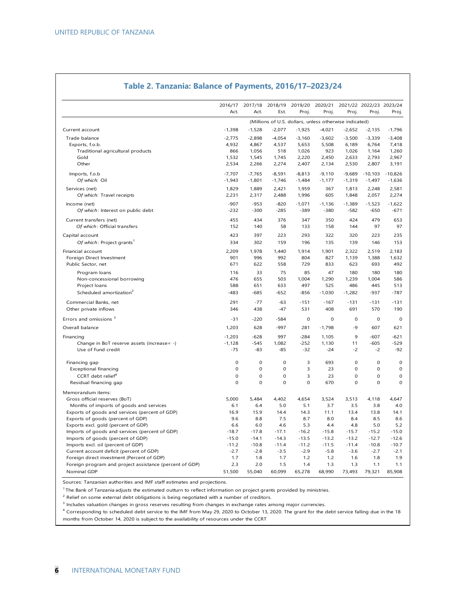|                                                                  | 2016/17                                                | 2017/18             | 2018/19      | 2019/20         | 2020/21        |             | 2021/22 2022/23 2023/24 |               |
|------------------------------------------------------------------|--------------------------------------------------------|---------------------|--------------|-----------------|----------------|-------------|-------------------------|---------------|
|                                                                  | Act.                                                   | Act.                | Est.         | Proj.           | Proj.          | Proj.       | Proj.                   | Proj.         |
|                                                                  | (Millions of U.S. dollars, unless otherwise indicated) |                     |              |                 |                |             |                         |               |
| Current account                                                  | $-1,398$                                               | $-1,528$            | $-2,077$     | $-1,925$        | $-4,021$       | $-2,652$    | $-2,135$                | $-1,796$      |
| Trade balance                                                    | $-2,775$                                               | $-2,898$            | $-4,054$     | $-3,160$        | $-3,602$       | $-3,500$    | $-3,339$                | $-3,408$      |
| Exports, f.o.b.                                                  | 4,932                                                  | 4,867               | 4,537        | 5,653           | 5,508          | 6,189       | 6,764                   | 7,418         |
| Traditional agricultural products                                | 866                                                    | 1,056               | 518          | 1,026           | 923            | 1,026       | 1,164                   | 1,260         |
| Gold                                                             | 1,532                                                  | 1,545               | 1,745        | 2,220           | 2,450          | 2,633       | 2,793                   | 2,967         |
| Other                                                            | 2,534                                                  | 2,266               | 2,274        | 2,407           | 2,134          | 2,530       | 2,807                   | 3,191         |
| Imports, f.o.b                                                   | $-7,707$                                               | $-7,765$            | $-8,591$     | $-8,813$        | $-9,110$       | $-9,689$    | $-10,103$               | $-10,826$     |
| Of which: Oil                                                    | $-1,943$                                               | $-1,801$            | $-1,746$     | $-1,484$        | $-1,177$       | $-1,319$    | $-1,497$                | $-1,636$      |
| Services (net)                                                   | 1,829                                                  | 1,889               | 2,421        | 1,959           | 367            | 1,813       | 2,248                   | 2,581         |
| Of which: Travel receipts                                        | 2,231                                                  | 2,317               | 2,488        | 1,996           | 605            | 1,848       | 2,057                   | 2,274         |
| Income (net)                                                     | $-907$                                                 | $-953$              | $-820$       | $-1,071$        | $-1.136$       | $-1,389$    | $-1,523$                | $-1,622$      |
| Of which: Interest on public debt                                | $-232$                                                 | $-300$              | $-285$       | $-389$          | $-380$         | $-582$      | $-650$                  | $-671$        |
| Current transfers (net)                                          | 455                                                    | 434                 | 376          | 347             | 350            | 424         | 479                     | 653           |
| Of which: Official transfers                                     | 152                                                    | 140                 | 58           | 133             | 158            | 144         | 97                      | 97            |
| Capital account                                                  | 423                                                    | 397                 | 223          | 293             | 322            | 320         | 223                     | 235           |
| Of which: Project grants                                         | 334                                                    | 302                 | 159          | 196             | 135            | 139         | 146                     | 153           |
| Financial account                                                | 2,209                                                  | 1,978               | 1.440        | 1,914           | 1,901          | 2,322       | 2,519                   | 2,183         |
| Foreign Direct Investment                                        | 901                                                    | 996                 | 992          | 804             | 827            | 1,139       | 1,388                   | 1,632         |
| Public Sector, net                                               | 671                                                    | 622                 | 558          | 729             | 833            | 623         | 693                     | 492           |
| Program loans                                                    | 116                                                    | 33                  | 75           | 85              | 47             | 180         | 180                     | 180           |
| Non-concessional borrowing                                       | 476                                                    | 655                 | 503          | 1,004           | 1,290          | 1,239       | 1,004                   | 586           |
| Project loans                                                    | 588                                                    | 651                 | 633          | 497             | 525            | 486         | 445                     | 513           |
| Scheduled amortization <sup>2</sup>                              | $-483$                                                 | $-685$              | $-652$       | $-856$          | $-1,030$       | $-1,282$    | $-937$                  | $-787$        |
| Commercial Banks, net                                            | 291                                                    | $-77$               | $-63$        | $-151$          | $-167$         | $-131$      | $-131$                  | $-131$        |
| Other private inflows                                            | 346                                                    | 438                 | $-47$        | 531             | 408            | 691         | 570                     | 190           |
| Errors and omissions <sup>3</sup>                                | $-31$                                                  | $-220$              | $-584$       | $\mathbf 0$     | $\mathbf 0$    | $\mathbf 0$ | $\mathbf 0$             | $\mathbf 0$   |
| Overall balance                                                  | 1,203                                                  | 628                 | $-997$       | 281             | $-1,798$       | $-9$        | 607                     | 621           |
|                                                                  | $-1.203$                                               | $-628$              | 997          | $-284$          | 1.105          | 9           | $-607$                  | $-621$        |
| Financing                                                        |                                                        |                     |              |                 |                |             |                         |               |
| Change in BoT reserve assets (increase= -)<br>Use of Fund credit | $-1,128$<br>$-75$                                      | $-545$<br>$-83$     | 1,082<br>-85 | $-252$<br>$-32$ | 1,130<br>$-24$ | 11<br>$-2$  | $-605$<br>$-2$          | $-529$<br>-92 |
|                                                                  |                                                        |                     |              |                 |                |             |                         |               |
| Financing gap                                                    | $\mathbf 0$                                            | $\mathbf 0$         | $\mathbf 0$  | 3               | 693            | $\mathbf 0$ | $\mathbf 0$             | $\mathbf 0$   |
| <b>Exceptional financing</b>                                     | 0                                                      | $\mathsf{O}\xspace$ | $\mathbf 0$  | 3               | 23             | $\mathbf 0$ | $\mathbf 0$             | $\mathbf 0$   |
| CCRT debt relief <sup>4</sup>                                    | $\mathbf 0$                                            | $\mathbf 0$         | $\mathbf 0$  | 3               | 23             | $\mathbf 0$ | $\mathbf 0$             | $\mathbf 0$   |
| Residual financing gap                                           | $\mathbf 0$                                            | $\mathbf 0$         | $\mathbf 0$  | $\mathbf 0$     | 670            | $\mathbf 0$ | $\mathbf 0$             | 0             |
| Memorandum items:                                                |                                                        |                     |              |                 |                |             |                         |               |
| Gross official reserves (BoT)                                    | 5,000                                                  | 5,484               | 4,402        | 4,654           | 3,524          | 3,513       | 4,118                   | 4,647         |
| Months of imports of goods and services                          | 6.1                                                    | 6.4                 | 5.0          | 5.1             | 3.7            | 3.5         | 3.8                     | 4.0           |
| Exports of goods and services (percent of GDP)                   | 16.9                                                   | 15.9                | 14.4         | 14.3            | 11.1           | 13.4        | 13.8                    | 14.1          |
| Exports of goods (percent of GDP)                                | 9.6                                                    | 8.8                 | 7.5          | 8.7             | 8.0            | 8.4         | 8.5                     | 8.6           |
| Exports excl. gold (percent of GDP)                              | 6.6                                                    | 6.0                 | 4.6          | 5.3             | 4.4            | 4.8         | 5.0                     | 5.2           |
| Imports of goods and services (percent of GDP)                   | $-18.7$                                                | $-17.8$             | $-17.1$      | $-16.2$         | $-15.8$        | $-15.7$     | $-15.2$                 | $-15.0$       |
| Imports of goods (percent of GDP)                                | $-15.0$                                                | $-14.1$             | $-14.3$      | $-13.5$         | $-13.2$        | $-13.2$     | $-12.7$                 | $-12.6$       |
| Imports excl. oil (percent of GDP)                               | $-11.2$                                                | $-10.8$             | $-11.4$      | $-11.2$         | $-11.5$        | $-11.4$     | $-10.8$                 | $-10.7$       |
| Current account deficit (percent of GDP)                         | $-2.7$                                                 | $-2.8$              | $-3.5$       | $-2.9$          | $-5.8$         | $-3.6$      | $-2.7$                  | $-2.1$        |
| Foreign direct investment (Percent of GDP)                       | 1.7                                                    | 1.8                 | 1.7          | 1.2             | 1.2            | 1.6         | 1.8                     | 1.9           |
| Foreign program and project assistance (percent of GDP)          | 2.3                                                    | 2.0                 | 1.5          | 1.4             | 1.3            | 1.3         | 1.1                     | 1.1           |
| Nominal GDP                                                      | 51,500                                                 | 55.040              | 60.099       | 65,278          | 68.990         | 73.493      | 79,321                  | 85,908        |

## **Table 2. Tanzania: Balance of Payments, 2016/17–2023/24**

Sources: Tanzanian authorities and IMF staff estimates and projections.

 $1$ The Bank of Tanzania adjusts the estimated outturn to reflect information on project grants provided by ministries.

 $2$  Relief on some external debt obligations is being negotiated with a number of creditors.

<sup>3</sup> Includes valuation changes in gross reserves resulting from changes in exchange rates among major currencies.

4 Corresponding to scheduled debt service to the IMF from May 29, 2020 to October 13, 2020. The grant for the debt service falling due in the 18 months from October 14, 2020 is subject to the availability of resources under the CCRT.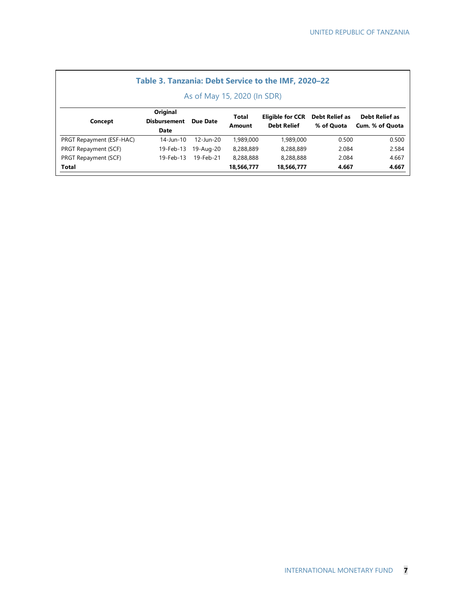| Table 3. Tanzania: Debt Service to the IMF, 2020-22 |                                         |           |                        |                                               |                              |                                          |  |  |  |  |
|-----------------------------------------------------|-----------------------------------------|-----------|------------------------|-----------------------------------------------|------------------------------|------------------------------------------|--|--|--|--|
| As of May 15, 2020 (In SDR)                         |                                         |           |                        |                                               |                              |                                          |  |  |  |  |
| Concept                                             | Original<br><b>Disbursement</b><br>Date | Due Date  | <b>Total</b><br>Amount | <b>Eligible for CCR</b><br><b>Debt Relief</b> | Debt Relief as<br>% of Quota | <b>Debt Relief as</b><br>Cum. % of Quota |  |  |  |  |
| PRGT Repayment (ESF-HAC)                            | 14-Jun-10                               | 12-Jun-20 | 1,989,000              | 1,989,000                                     | 0.500                        | 0.500                                    |  |  |  |  |
| PRGT Repayment (SCF)                                | 19-Feb-13                               | 19-Aug-20 | 8.288.889              | 8.288.889                                     | 2.084                        | 2.584                                    |  |  |  |  |
| PRGT Repayment (SCF)                                | 19-Feb-13                               | 19-Feb-21 | 8.288.888              | 8,288,888                                     | 2.084                        | 4.667                                    |  |  |  |  |
| Total                                               |                                         |           | 18,566,777             | 18.566.777                                    | 4.667                        | 4.667                                    |  |  |  |  |

<u> 1989 - Johann Stoff, deutscher Stoffen und der Stoffen und der Stoffen und der Stoffen und der Stoffen und der</u>

## INTERNATIONAL MONETARY FUND **7**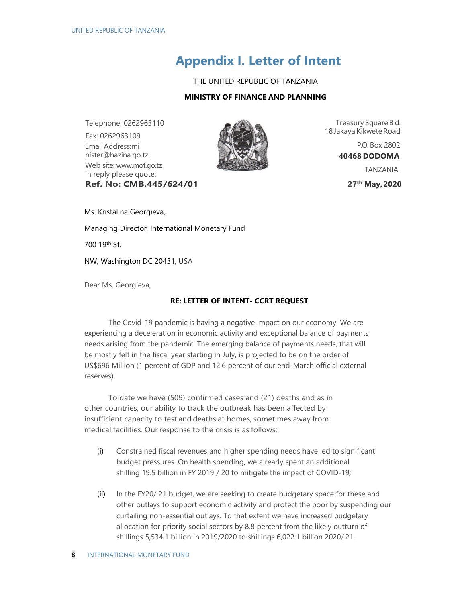# **Appendix I. Letter of Intent**

THE UNITED REPUBLIC OF TANZANIA

#### **MINISTRY OF FINANCE AND PLANNING**

Telephone: 0262963110 Fax: 0262963109 Email Address:mi nister@hazina.qo.tz Web site: www.mof.go.tz In reply please quote: **Ref. No: CMB.445/624/01**



Treasury Square Bid. 18 Jakaya Kikwete Road

> P.O. Box 2802 **40468 DODOMA**

> > TANZANIA.

**27th May, 2020**

Ms. Kristalina Georgieva,

Managing Director, International Monetary Fund

700 19th St.

NW, Washington DC 20431, USA

Dear Ms. Georgieva,

#### **RE: LETTER OF INTENT- CCRT REQUEST**

The Covid-19 pandemic is having a negative impact on our economy. We are experiencing a deceleration in economic activity and exceptional balance of payments needs arising from the pandemic. The emerging balance of payments needs, that will be mostly felt in the fiscal year starting in July, is projected to be on the order of US\$696 Million (1 percent of GDP and 12.6 percent of our end-March official external reserves).

To date we have (509) confirmed cases and (21) deaths and as in other countries, our ability to track the outbreak has been affected by insufficient capacity to test and deaths at homes, sometimes away from medical facilities. Our response to the crisis is as follows:

- (i) Constrained fiscal revenues and higher spending needs have led to significant budget pressures. On health spending, we already spent an additional shilling 19.5 billion in FY 2019 / 20 to mitigate the impact of COVID-19;
- (ii) In the FY20/ 21 budget, we are seeking to create budgetary space for these and other outlays to support economic activity and protect the poor by suspending our curtailing non-essential outlays. To that extent we have increased budgetary allocation for priority social sectors by 8.8 percent from the likely outturn of shillings 5,534.1 billion in 2019/2020 to shillings 6,022.1 billion 2020/ 21.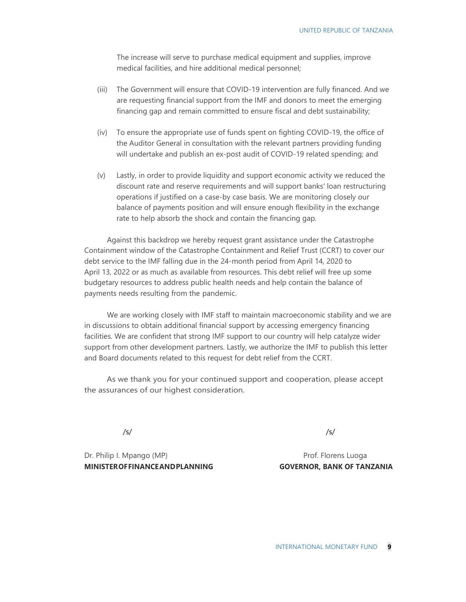The increase will serve to purchase medical equipment and supplies, improve medical facilities, and hire additional medical personnel;

- (iii) The Government will ensure that COVID-19 intervention are fully financed. And we are requesting financial support from the IMF and donors to meet the emerging financing gap and remain committed to ensure fiscal and debt sustainability;
- (iv) To ensure the appropriate use of funds spent on fighting COVID-19, the office of the Auditor General in consultation with the relevant partners providing funding will undertake and publish an ex-post audit of COVID-19 related spending; and
- (v) Lastly, in order to provide liquidity and support economic activity we reduced the discount rate and reserve requirements and will support banks' loan restructuring operations if justified on a case-by case basis. We are monitoring closely our balance of payments position and will ensure enough flexibility in the exchange rate to help absorb the shock and contain the financing gap.

Against this backdrop we hereby request grant assistance under the Catastrophe Containment window of the Catastrophe Containment and Relief Trust (CCRT) to cover our debt service to the IMF falling due in the 24-month period from April 14, 2020 to April 13, 2022 or as much as available from resources. This debt relief will free up some budgetary resources to address public health needs and help contain the balance of payments needs resulting from the pandemic.

We are working closely with IMF staff to maintain macroeconomic stability and we are in discussions to obtain additional financial support by accessing emergency financing facilities. We are confident that strong IMF support to our country will help catalyze wider support from other development partners. Lastly, we authorize the IMF to publish this letter and Board documents related to this request for debt relief from the CCRT.

As we thank you for your continued support and cooperation, please accept the assurances of our highest consideration.

/s/ /s/

Dr. Philip I. Mpango (MP) Prof. Florens Luoga **MINISTER OF FINANCE AND PLANNING GOVERNOR, BANK OF TANZANIA**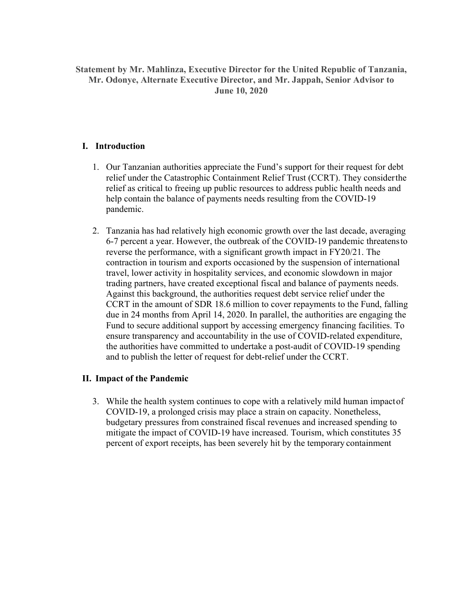## **Statement by Mr. Mahlinza, Executive Director for the United Republic of Tanzania, Mr. Odonye, Alternate Executive Director, and Mr. Jappah, Senior Advisor to June 10, 2020**

## **I. Introduction**

- 1. Our Tanzanian authorities appreciate the Fund's support for their request for debt relief under the Catastrophic Containment Relief Trust (CCRT). They consider the relief as critical to freeing up public resources to address public health needs and help contain the balance of payments needs resulting from the COVID-19 pandemic.
- 2. Tanzania has had relatively high economic growth over the last decade, averaging 6-7 percent a year. However, the outbreak of the COVID-19 pandemic threatens to reverse the performance, with a significant growth impact in FY20/21. The contraction in tourism and exports occasioned by the suspension of international travel, lower activity in hospitality services, and economic slowdown in major trading partners, have created exceptional fiscal and balance of payments needs. Against this background, the authorities request debt service relief under the CCRT in the amount of SDR 18.6 million to cover repayments to the Fund, falling due in 24 months from April 14, 2020. In parallel, the authorities are engaging the Fund to secure additional support by accessing emergency financing facilities. To ensure transparency and accountability in the use of COVID-related expenditure, the authorities have committed to undertake a post-audit of COVID-19 spending and to publish the letter of request for debt-relief under the CCRT.

## **II. Impact of the Pandemic**

3. While the health system continues to cope with a relatively mild human impact of COVID-19, a prolonged crisis may place a strain on capacity. Nonetheless, budgetary pressures from constrained fiscal revenues and increased spending to mitigate the impact of COVID-19 have increased. Tourism, which constitutes 35 percent of export receipts, has been severely hit by the temporary containment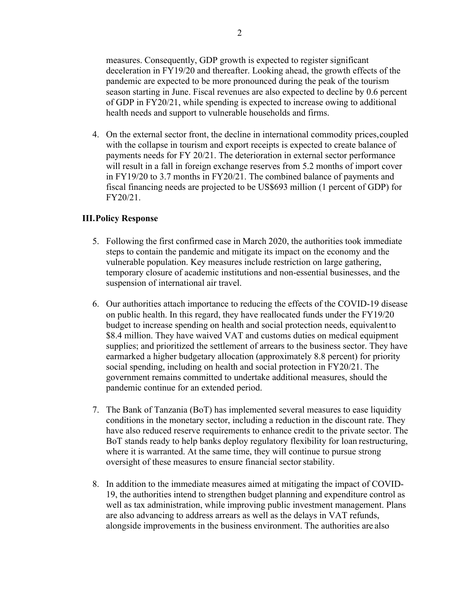measures. Consequently, GDP growth is expected to register significant deceleration in FY19/20 and thereafter. Looking ahead, the growth effects of the pandemic are expected to be more pronounced during the peak of the tourism season starting in June. Fiscal revenues are also expected to decline by 0.6 percent of GDP in FY20/21, while spending is expected to increase owing to additional health needs and support to vulnerable households and firms.

4. On the external sector front, the decline in international commodity prices, coupled with the collapse in tourism and export receipts is expected to create balance of payments needs for FY 20/21. The deterioration in external sector performance will result in a fall in foreign exchange reserves from 5.2 months of import cover in FY19/20 to 3.7 months in FY20/21. The combined balance of payments and fiscal financing needs are projected to be US\$693 million (1 percent of GDP) for FY20/21.

#### **III.Policy Response**

- 5. Following the first confirmed case in March 2020, the authorities took immediate steps to contain the pandemic and mitigate its impact on the economy and the vulnerable population. Key measures include restriction on large gathering, temporary closure of academic institutions and non-essential businesses, and the suspension of international air travel.
- 6. Our authorities attach importance to reducing the effects of the COVID-19 disease on public health. In this regard, they have reallocated funds under the FY19/20 budget to increase spending on health and social protection needs, equivalent to \$8.4 million. They have waived VAT and customs duties on medical equipment supplies; and prioritized the settlement of arrears to the business sector. They have earmarked a higher budgetary allocation (approximately 8.8 percent) for priority social spending, including on health and social protection in FY20/21. The government remains committed to undertake additional measures, should the pandemic continue for an extended period.
- 7. The Bank of Tanzania (BoT) has implemented several measures to ease liquidity conditions in the monetary sector, including a reduction in the discount rate. They have also reduced reserve requirements to enhance credit to the private sector. The BoT stands ready to help banks deploy regulatory flexibility for loan restructuring, where it is warranted. At the same time, they will continue to pursue strong oversight of these measures to ensure financial sector stability.
- 8. In addition to the immediate measures aimed at mitigating the impact of COVID-19, the authorities intend to strengthen budget planning and expenditure control as well as tax administration, while improving public investment management. Plans are also advancing to address arrears as well as the delays in VAT refunds, alongside improvements in the business environment. The authorities are also